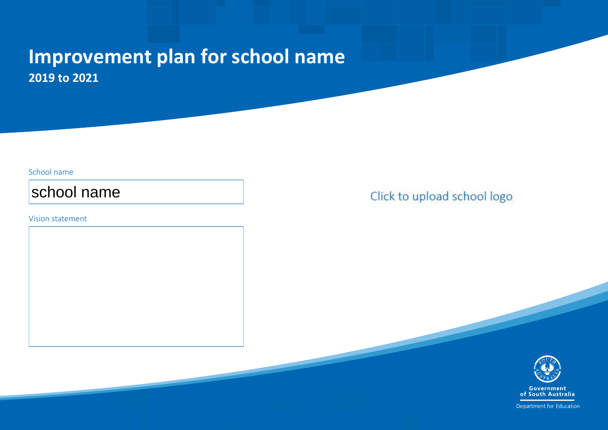## **Improvement plan for Salisbury North R-7 School 2019 to 2021**

#### School name

## Salisbury North R-7 School

#### Vision statement

We are a compassionate learning community, which nurtures a resilient mindset and curious learners with high expectations for the future.

We do this by promoting quality teaching and learning and acknowledging diversity through our relationships, achiveement and our engaging environment..

## Click to upload school logo



Department for Education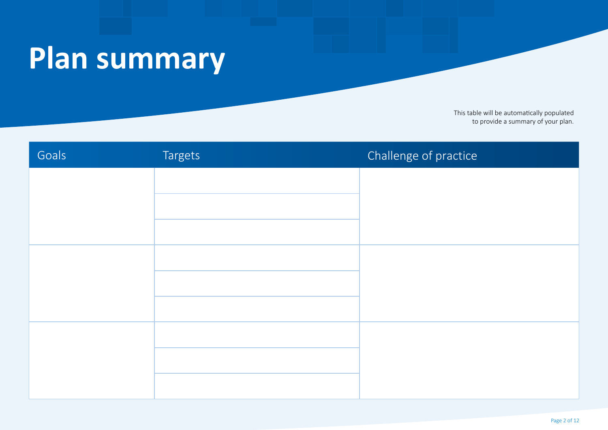## **Plan summary**

This table will be automatically populated to provide a summary of your plan.

| Goals                                                                             | <b>Targets</b>                                                                                                                                                                                                                                                                                                                                                                                                 | Challenge of practice                                                                                                                                                                           |  |
|-----------------------------------------------------------------------------------|----------------------------------------------------------------------------------------------------------------------------------------------------------------------------------------------------------------------------------------------------------------------------------------------------------------------------------------------------------------------------------------------------------------|-------------------------------------------------------------------------------------------------------------------------------------------------------------------------------------------------|--|
| Students will develop as<br>assessment capable learners                           | In 2019:<br>50% of students in reception will achieve the SEA<br>40% of students in year 1 will achieve SEA in reading and 35% in Phonics<br>50% of students in year 2 will achieve SEA                                                                                                                                                                                                                        | If we implement a systematic approach to phonics e.g Jolly<br>Phonics and the whole site literacy critical commitment across<br>all curriculum then students will develop their balanced reader |  |
| in reading and have effective<br>phonics and phonological<br>awareness skills and | In 2020:<br>55% of students in Reception will achieve the SEA<br>50% of students in year 1 will achieve SEA in reading and 45% in Phonics<br>60% of students in year 2 will achieve SEA                                                                                                                                                                                                                        | and comprehension skills.<br>If we implement formative assessment with a focus on learning                                                                                                      |  |
| knowledge.                                                                        | In 2021:<br>60% of students in Reception will achieve the SEA<br>55% of students in year 1 will achieve SEA in reading and 50% in Phonics<br>65% of students in year 2 will achieve SEA                                                                                                                                                                                                                        | intentions, co-constructed success criteria and feedback<br>students will be able to articulate what they are learning and<br>why                                                               |  |
| Students will be intellectually<br>challenged and increase their                  | In 2019<br>30% of highly able students in year 3 will achieve in the high bands (top two bands) in Reading as measured by NAPLAN and PATR<br>25% of highly able students in year 5 will achieve in the high bands ( top two bands) in Reading as measured by NAPLAN and PATR<br>10% of highly able students in year 7 will achieve in the high bands (top two bands) in Reading as measured by NAPLAN and PATR | If we implement the three tiers of vocabulary and the use<br>of think outside the box questioning then students will                                                                            |  |
| vocabulary and thinking skills<br>in reading.                                     | In 2020<br>35% of students in year 3 will achieve in the high bands (top two bands) in Reading as measured by NAPLAN and PATR<br>30% of students in year 5 will achieve in the high bands (top two bands) in Reading as measured by NAPLAN and PATR<br>15% of students in year 7 will achieve in the high bands (top two bands) in Reading as measured by NAPLAN and PATR                                      | expand their vocabulary, engage in dialogic thinking and<br>and feel intellectually challenged<br>If we implement formative assessment with a focus on                                          |  |
|                                                                                   | In 2021<br>40% of students in year 3 will achieve in the high bands (top two bands) in Reading as measured by NAPLAN and PATR<br>35% of students in year 5 will achieve in the high bands (top two bands) in Reading as measured by NAPLAN and PATR<br>20% of students in year 7 will achieve in the high bands (top two bands) in Reading as measured by NAPLAN and PATR                                      | accountable talk and feedback, students will be<br>assessment capable.                                                                                                                          |  |
| Students will further develop<br>their fluency, problem solving                   | In 2019<br>60% of year 3 students will achieve SEA as measured by NAPLAN and PAT maths.<br>50% of year 5 students will achieve SEA as measured by NAPLAN and PAT maths.<br>50% of year 7 students will achieve SEA as measured by NAPLAN and PAT maths.                                                                                                                                                        | If we use evidence based approaches and explicitly<br>teach all areas from the whole site mathematics critical                                                                                  |  |
| and reasoning skills in<br>mathematics.                                           | In 2020<br>80% of year 3 students will achieve the SEA in Mathematics as measured by NAPLAN and PAT maths.<br>60% of year 5 students will achieve i the NMS in Mathematics as measured by NAPLAN and PAT maths.<br>55% of year 7 students will achieve SEA as measured by NAPLAN and PAT maths.                                                                                                                | commitment then students will be fluent able to problem<br>solve and reason.<br>If we implement formative assessment with a focus on                                                            |  |
|                                                                                   | In 2021<br>850% of year 3 students will achieve the SEA in Mathematics as measured by NAPLAN and PAT maths.<br>65% of year 5 students will achieve i the NMS in Mathematics as measured by NAPLAN and PAT maths.<br>60% of year 7 students will achieve SEA as measured by NAPLAN and PAT maths.                                                                                                               | students using their data to goal set, they will be able to<br>articulate their next steps in their learning.                                                                                   |  |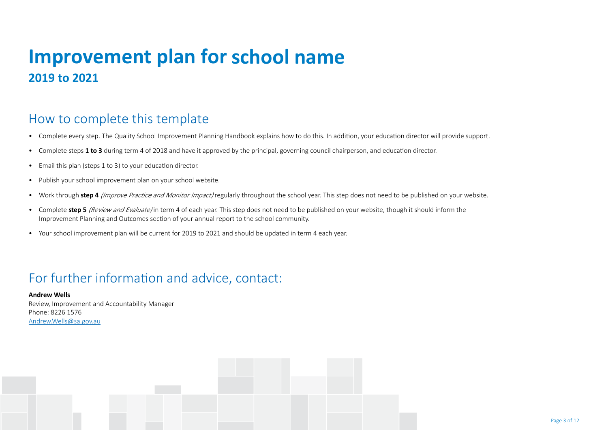## **Improvement plan for Salisbury North R-7 School2019 to 2021**

### How to complete this template

- Complete every step. The Quality School Improvement Planning Handbook explains how to do this. In addition, your education director will provide support.
- Complete steps **1 to 3** during term 4 of 2018 and have it approved by the principal, governing council chairperson, and education director.
- Email this plan (steps 1 to 3) to your education director.
- Publish your school improvement plan on your school website.
- Work through **step 4** *(Improve Practice and Monitor Impact)* regularly throughout the school year. This step does not need to be published on your website.
- Complete **step 5** *(Review and Evaluate)* in term 4 of each year. This step does not need to be published on your website, though it should inform the Improvement Planning and Outcomes section of your annual report to the school community.
- Your school improvement plan will be current for 2019 to 2021 and should be updated in term 4 each year.

## For further information and advice, contact:

**Andrew Wells** Review, Improvement and Accountability Manager Phone: 8226 1576 Andrew.Wells@sa.gov.au

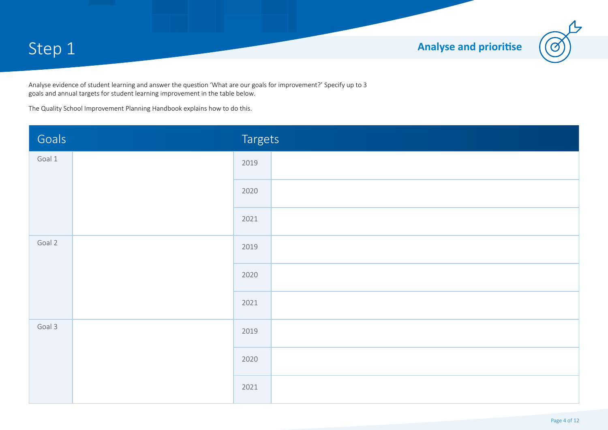Step 1 **Analyse and prioritise** 



Analyse evidence of student learning and answer the question 'What are our goals for improvement?' Specify up to 3 goals and annual targets for student learning improvement in the table below.

The Quality School Improvement Planning Handbook explains how to do this.

| Goals  |                                                                                                         | <b>Targets</b> |                                                                                                                                                                                                                                                                                                                                                                                                               |  |
|--------|---------------------------------------------------------------------------------------------------------|----------------|---------------------------------------------------------------------------------------------------------------------------------------------------------------------------------------------------------------------------------------------------------------------------------------------------------------------------------------------------------------------------------------------------------------|--|
| Goal 1 | Students will develop as assessment<br>capable learners in reading and have                             | 2019           | In 2019:<br>50% of students in reception will achieve the SEA<br>40% of students in year 1 will achieve SEA in reading and 35% in Phonics<br>50% of students in year 2 will achieve SEA                                                                                                                                                                                                                       |  |
|        | effective phonics and phonological<br>awareness skills and knowledge.                                   | 2020           | In 2020:<br>55% of students in Reception will achieve the SEA<br>50% of students in year 1 will achieve SEA in reading and 45% in Phonics<br>60% of students in year 2 will achieve SEA                                                                                                                                                                                                                       |  |
|        |                                                                                                         |                | In 2021:<br>60% of students in Reception will achieve the SEA<br>55% of students in year 1 will achieve SEA in reading and 50% in Phonics<br>65% of students in year 2 will achieve SEA                                                                                                                                                                                                                       |  |
| Goal 2 | Students will be intellectually challenged<br>and increase their vocabulary and                         | 2019           | In 2019<br>30% of highly able students in year 3 will achieve in the high bands (top two bands) in Reading as measured by NAPLAN and PATR<br>25% of highly able students in year 5 will achieve in the high bands (top two bands) in Reading as measured by NAPLAN and PATR<br>10% of highly able students in year 7 will achieve in the high bands (top two bands) in Reading as measured by NAPLAN and PATR |  |
|        | thinking skills in reading.                                                                             | 2020           | In 2020<br>35% of students in year 3 will achieve in the high bands (top two bands) in Reading as measured by NAPLAN and PATR<br>30% of students in year 5 will achieve in the high bands (top two bands) in Reading as measured by NAPLAN and PATR<br>15% of students in year 7 will achieve in the high bands (top two bands) in Reading as measured by NAPLAN and PATR                                     |  |
|        |                                                                                                         |                | In 2021<br>40% of students in year 3 will achieve in the high bands (top two bands) in Reading as measured by NAPLAN and PATR<br>35% of students in year 5 will achieve in the high bands (top two bands) in Reading as measured by NAPLAN and PATR<br>20% of students in year 7 will achieve in the high bands (top two bands) in Reading as measured by NAPLAN and PATR                                     |  |
| Goal 3 | Students will further develop their<br>fluency, problem solving and reasoning<br>skills in mathematics. | 2019           | In 2019<br>60% of year 3 students will achieve SEA as measured by NAPLAN and PAT maths.<br>50% of year 5 students will achieve SEA as measured by NAPLAN and PAT maths.<br>50% of year 7 students will achieve SEA as measured by NAPLAN and PAT maths.                                                                                                                                                       |  |
|        |                                                                                                         | 2020           | In 2020<br>80% of year 3 students will achieve the SEA in Mathematics as measured by NAPLAN and PAT maths.<br>60% of year 5 students will achieve i the NMS in Mathematics as measured by NAPLAN and PAT maths.<br>55% of year 7 students will achieve SEA as measured by NAPLAN and PAT maths.                                                                                                               |  |
|        |                                                                                                         |                | In 2021<br>850% of year 3 students will achieve the SEA in Mathematics as measured by NAPLAN and PAT maths.<br>65% of year 5 students will achieve i the NMS in Mathematics as measured by NAPLAN and PAT maths.<br>60% of year 7 students will achieve SEA as measured by NAPLAN and PAT maths.                                                                                                              |  |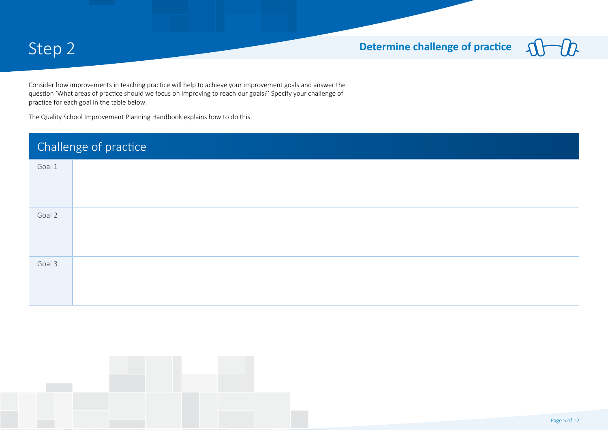#### Step 2 **Determine challenge of practice**  $\boldsymbol{\Lambda}$

Consider how improvements in teaching practice will help to achieve your improvement goals and answer the question 'What areas of practice should we focus on improving to reach our goals?' Specify your challenge of practice for each goal in the table below.

The Quality School Improvement Planning Handbook explains how to do this.

| Challenge of practice |                                                                                                                                                                                                                                                                                                                                                                                                                        |  |  |  |
|-----------------------|------------------------------------------------------------------------------------------------------------------------------------------------------------------------------------------------------------------------------------------------------------------------------------------------------------------------------------------------------------------------------------------------------------------------|--|--|--|
| Goal 1                | If we implement a systematic approach to phonics e.g Jolly Phonics and the whole site literacy critical commitment across all<br>curriculum then students will develop their balanced reader and comprehension skills.<br>If we implement formative assessment with a focus on learning intentions, co-constructed success criteria and feedback students<br>will be able to articulate what they are learning and why |  |  |  |
| Goal 2                | If we implement the three tiers of vocabulary and the use of think outside the box questioning then students will expand their<br>vocabulary, engage in dialogic thinking and and feel intellectually challenged<br>If we implement formative assessment with a focus on accountable talk and feedback. students will be assessment capable.                                                                           |  |  |  |
| Goal 3                | If we use evidence based approaches and explicitly teach all areas from the whole site mathematics critical commitment then<br>students will be fluent able to problem solve and reason.<br>If we implement formative assessment with a focus on students using their data to goal set, they will be able to articulate their<br>next steps in their learning.                                                         |  |  |  |

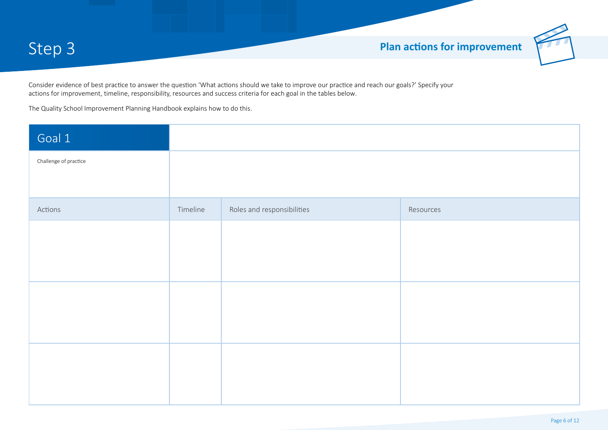

Consider evidence of best practice to answer the question 'What actions should we take to improve our practice and reach our goals?' Specify your actions for improvement, timeline, responsibility, resources and success criteria for each goal in the tables below.

The Quality School Improvement Planning Handbook explains how to do this.

| Goal 1                                                                                                                                                                      | Students will develop as assessment capable learners in reading and have effective phonics and phonological<br>awareness skills and knowledge.                                                                                                                                                                                                                                                                         |                                                                                                                                                                                                                                                                                                                                                                                                              |                                                                                                                                                                                                                                                                                                                            |
|-----------------------------------------------------------------------------------------------------------------------------------------------------------------------------|------------------------------------------------------------------------------------------------------------------------------------------------------------------------------------------------------------------------------------------------------------------------------------------------------------------------------------------------------------------------------------------------------------------------|--------------------------------------------------------------------------------------------------------------------------------------------------------------------------------------------------------------------------------------------------------------------------------------------------------------------------------------------------------------------------------------------------------------|----------------------------------------------------------------------------------------------------------------------------------------------------------------------------------------------------------------------------------------------------------------------------------------------------------------------------|
| Challenge of practice                                                                                                                                                       | If we implement a systematic approach to phonics e.g Jolly Phonics and the whole site literacy critical<br>commitment across all curriculum then students will develop their balanced reader and comprehension skills.<br>If we implement formative assessment with a focus on learning intentions, co-constructed success criteria and<br>feedback students will be able to articulate what they are learning and why |                                                                                                                                                                                                                                                                                                                                                                                                              |                                                                                                                                                                                                                                                                                                                            |
| Actions                                                                                                                                                                     | Timeline                                                                                                                                                                                                                                                                                                                                                                                                               | Roles and responsibilities                                                                                                                                                                                                                                                                                                                                                                                   | Resources                                                                                                                                                                                                                                                                                                                  |
| Staff will meet fortnightly to<br>collect, analyse and review data in<br>order to track and monitor students<br>progress in phonics and PA<br>knowledge and understandings. | T3 2019<br>T4 2020                                                                                                                                                                                                                                                                                                                                                                                                     | Staff:<br>DP, Principal and EY senior leader will co-ordinate and facilitate team data<br>learning meetings fortnightly<br>Reception to year 7 staff use data to undertake professional conversations<br>and literacy planning at meetings.<br>Students:<br>Student reps form each class will attend regular fortnightly forums to learn<br>how to review and use their data to set literacy learning goals. | Whole site literacy critical commitment document<br>Phonics and PA critical commitment document<br>Phonics and PA data collected through screenings and running records<br>Class observation checklist and Instructional Rounds<br>Student forums<br><b>Heggerty materials</b><br>Jolly Phonics materials                  |
| Provide targeted and responsive<br>professional learning opportunities<br>in the big 6 with a focus on<br>Phonics, PA, oral language and<br>AFL in R-4.                     | T4 2019 -<br>T4 2020                                                                                                                                                                                                                                                                                                                                                                                                   | Staff:<br>EY, Literacy senior leader and DP will facilitate differentiated(surface, deep<br>and transfer) professional development and coaching in classes.<br>Teachers will build their capacity to understand and use the big 6 of reading<br>in their lessons with a focus on Phonics, PA and oral language.<br>Teachers and SSO staff will implement Jolly Phonics and Heggerty<br>materials.            | Whole site literacy critcical commitment document<br>Phonics and PA critical commitment document<br>Phonics and PA data collected through local and DECD screenings<br>Class observation checklist and instructional rounds<br>ACARA literacy progression document<br><b>Heggerty materials</b><br>Jolly Phonics materials |
|                                                                                                                                                                             |                                                                                                                                                                                                                                                                                                                                                                                                                        |                                                                                                                                                                                                                                                                                                                                                                                                              |                                                                                                                                                                                                                                                                                                                            |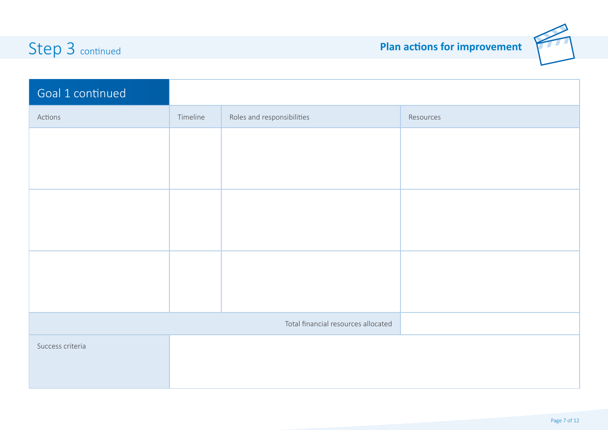

## Step 3 continued **Plan actions for improvement**

| Goal 1 continued | Students will develop as assessment capable learners in reading and have effective phonics and phonological<br>awareness skills and knowledge.                                                                                                                                                                                                                                                   |                                     |           |
|------------------|--------------------------------------------------------------------------------------------------------------------------------------------------------------------------------------------------------------------------------------------------------------------------------------------------------------------------------------------------------------------------------------------------|-------------------------------------|-----------|
| Actions          | Timeline                                                                                                                                                                                                                                                                                                                                                                                         | Roles and responsibilities          | Resources |
|                  |                                                                                                                                                                                                                                                                                                                                                                                                  |                                     |           |
|                  |                                                                                                                                                                                                                                                                                                                                                                                                  |                                     |           |
|                  |                                                                                                                                                                                                                                                                                                                                                                                                  |                                     |           |
|                  |                                                                                                                                                                                                                                                                                                                                                                                                  |                                     |           |
|                  |                                                                                                                                                                                                                                                                                                                                                                                                  |                                     |           |
|                  |                                                                                                                                                                                                                                                                                                                                                                                                  |                                     |           |
|                  |                                                                                                                                                                                                                                                                                                                                                                                                  |                                     |           |
|                  |                                                                                                                                                                                                                                                                                                                                                                                                  |                                     |           |
|                  |                                                                                                                                                                                                                                                                                                                                                                                                  | Total financial resources allocated | 10,000    |
| Success criteria | 1. Students will be able to recognise and understand the 44 sounds and corresponding letter/diagraphs, high<br>frequency words and apply phonic principles to unknown or nonsense words.<br>2.All students will have met the school and DECD targets in phonics and reading levels<br>3. Staff have shifted from a surface to deep knowledge of how to teach phonics and phonological awareness. |                                     |           |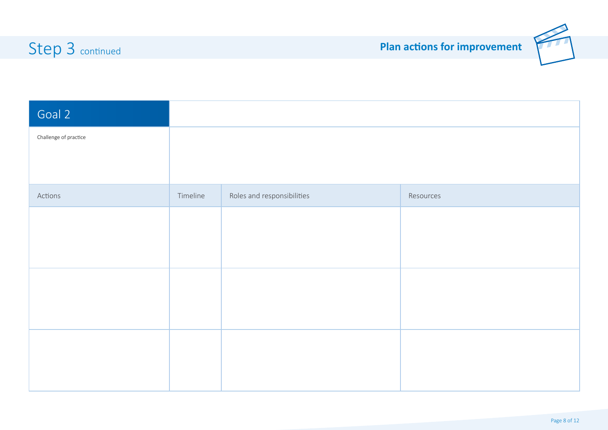

| Goal 2                                                                                                                                                                              | Students will be intellectually challenged and increase their vocabulary and thinking skills in reading.                                                                                                                                                                                                                                        |                                                                                                                                                                                                                                                                                                                                                                                                                                                                                                                                                                                                    |                                                                                                                                                                                                                                                                                                                                                                                           |  |
|-------------------------------------------------------------------------------------------------------------------------------------------------------------------------------------|-------------------------------------------------------------------------------------------------------------------------------------------------------------------------------------------------------------------------------------------------------------------------------------------------------------------------------------------------|----------------------------------------------------------------------------------------------------------------------------------------------------------------------------------------------------------------------------------------------------------------------------------------------------------------------------------------------------------------------------------------------------------------------------------------------------------------------------------------------------------------------------------------------------------------------------------------------------|-------------------------------------------------------------------------------------------------------------------------------------------------------------------------------------------------------------------------------------------------------------------------------------------------------------------------------------------------------------------------------------------|--|
| Challenge of practice                                                                                                                                                               | If we implement the three tiers of vocabulary and the use of think outside the box questioning then<br>students will expand their vocabulary, engage in dialogic thinking and and feel intellectually challenged<br>If we implement formative assessment with a focus on accountable talk and feedback. students will be<br>assessment capable. |                                                                                                                                                                                                                                                                                                                                                                                                                                                                                                                                                                                                    |                                                                                                                                                                                                                                                                                                                                                                                           |  |
| Actions                                                                                                                                                                             | Timeline                                                                                                                                                                                                                                                                                                                                        | Roles and responsibilities                                                                                                                                                                                                                                                                                                                                                                                                                                                                                                                                                                         | Resources                                                                                                                                                                                                                                                                                                                                                                                 |  |
| Ensure staff have structured time<br>to collaborate, reflect on practice<br>and implement AFL principles of<br>learning intentions, co-constructed<br>success criteria and feedback | Term 4<br>2019 - term<br>4 2020 and<br>21                                                                                                                                                                                                                                                                                                       | Staff:<br>The DP, AP, Principal and senior leaders will provide continuous PD over 4 terms in<br>"learning intentions, success criteria and feedback<br>Teachers will adjust planning to include LI, co-constructed success criteria and<br>feedback to differentiate<br>The leadership team will will visit classes and provide feedback on micro teaching in<br>the area of LI. success criteria and feedback.<br>Students:<br>The student AFL forum reps will report back regularly to the leadership team about<br>the implementation of AFL.                                                  | Professional development release time for staff to<br>collaboratively plan<br>Developing assessment capable visible learners text per teacher<br>website /staff drive with resources<br>Orion partnership expert key teacher in reading 0.2 release<br>position.<br>A senior leader position in HA trained by Principal                                                                   |  |
| Provide targeted and responsive<br>professional learning opportunities<br>in Reading about HA students.                                                                             | Terms $1 - 4$<br>2020 and<br>2021                                                                                                                                                                                                                                                                                                               | Staff:<br>Principal will provide 1 day workshop per term and face to face coaching opportunities in<br>teams on catering for highly abled students in reading.<br>Principal will connect staffs Performance and Development plans to highly abled students<br>Staff will implement whole school macro differentiation agreements e.g. goal setting,<br>progress reflections, LI, success criteria, think outiside the box question techniques and<br>feedback<br>Students:<br>Identified students will attend a HA professional learning forum to provide feedback about<br>their needs and goals. | Flinders University personnel in the field of G&T/ highly abled students<br>Janet Farrall (AISSA) workshops on highly abled students<br>AITSL leading voices videos.<br>Developing assessment capable visible learners text per teacher<br>website /staff drive with resources<br>Orion partnership expert key teacher in reading 0.2 release position.<br>A senior leader position in HA |  |
| Structure a rigorous acceleration<br>program for Years 3-7 in Reading                                                                                                               | <b>Term 2-4</b><br>2020 and<br>2021                                                                                                                                                                                                                                                                                                             | Staff:<br>Leadership team will provide cluster grouping for highly abled students in Literacy<br>Teachers will use the schools literacy commitment to compact curriculum and<br>formative assessment to attend to whole class, small group and individual<br>differences.<br><b>Students</b><br>Identified students will attend and positively engage in an acceleration program<br>weekly                                                                                                                                                                                                         | Whole school data collection and analysis for identification purposes e.g.<br>PAT and NAPLAN data.<br>IQ tests<br>Learning space for HA delivery program<br>Orion partnership expert key teacher in reading 0.2 release position. A<br>senior leader position in HA                                                                                                                       |  |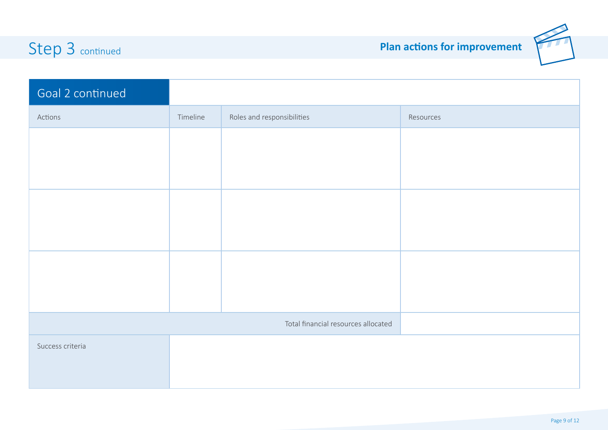## Step 3 continued **Step 3 continued**



| Goal 2 continued                                                                                                                    | Students will be intellectually challenged and increase their vocabulary and thinking skills in reading.                                                                                                                                                                                                                            |                                                                                                                                                                                                             |                                                                                                               |
|-------------------------------------------------------------------------------------------------------------------------------------|-------------------------------------------------------------------------------------------------------------------------------------------------------------------------------------------------------------------------------------------------------------------------------------------------------------------------------------|-------------------------------------------------------------------------------------------------------------------------------------------------------------------------------------------------------------|---------------------------------------------------------------------------------------------------------------|
| Actions                                                                                                                             | Timeline                                                                                                                                                                                                                                                                                                                            | Roles and responsibilities                                                                                                                                                                                  | Resources                                                                                                     |
| Staff will participate in 3 tiers of<br>vocabulary and think outside the<br>bx questioning workshops during<br>PFD and after school | Terms $1 - 4$<br>2020                                                                                                                                                                                                                                                                                                               | All staff to participate in differentiated workshops on 3<br>tiers of vocab and think outside the box questioning<br>Principal and lit leader to facilitate training in both<br>fields linked to lit block. | Literacy improvement handbook in STRETCH<br>PDP documentation<br>Instructional rounds<br>Impact team meetings |
|                                                                                                                                     |                                                                                                                                                                                                                                                                                                                                     |                                                                                                                                                                                                             |                                                                                                               |
|                                                                                                                                     |                                                                                                                                                                                                                                                                                                                                     |                                                                                                                                                                                                             |                                                                                                               |
|                                                                                                                                     |                                                                                                                                                                                                                                                                                                                                     | Total financial resources allocated                                                                                                                                                                         | 20,000                                                                                                        |
| Success criteria                                                                                                                    | 1. The amount of students achieving in the top two bands for reading has increased each year by the set<br>targets.<br>2. HA students report an increase in engagement, feel challenged and can articulate their learning.<br>3. Staff have increased their capacity to understand how to differentiate for HA students in reading. |                                                                                                                                                                                                             |                                                                                                               |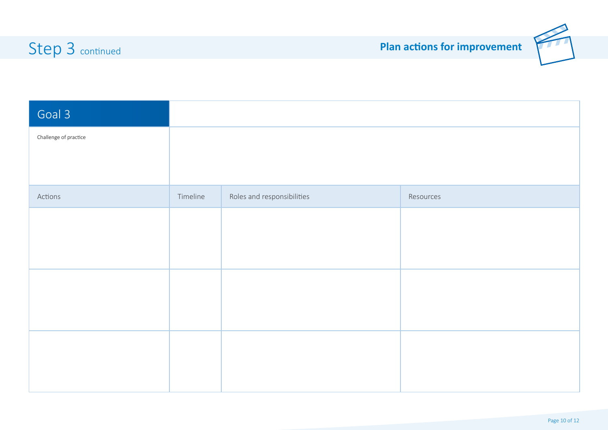

| $\overline{G}$ oal 3                                                                                                       | Students will further develop their fluency, problem solving and reasoning skills in mathematics.<br>If we use evidence based approaches and explicitly teach all areas from the whole site mathematics<br>critical commitment then students will be fluent able to problem solve and reason.<br>If we implement formative assessment with a focus on students using their data to goal set, they will be<br>able to articulate their next steps in their learning. |                                                                                                                                                                                                                                                                                                                                                                                                                                                                                                                                                                                                                                                                                                                             |                                                                                                                                                                                                                                                                |
|----------------------------------------------------------------------------------------------------------------------------|---------------------------------------------------------------------------------------------------------------------------------------------------------------------------------------------------------------------------------------------------------------------------------------------------------------------------------------------------------------------------------------------------------------------------------------------------------------------|-----------------------------------------------------------------------------------------------------------------------------------------------------------------------------------------------------------------------------------------------------------------------------------------------------------------------------------------------------------------------------------------------------------------------------------------------------------------------------------------------------------------------------------------------------------------------------------------------------------------------------------------------------------------------------------------------------------------------------|----------------------------------------------------------------------------------------------------------------------------------------------------------------------------------------------------------------------------------------------------------------|
| Challenge of practice                                                                                                      |                                                                                                                                                                                                                                                                                                                                                                                                                                                                     |                                                                                                                                                                                                                                                                                                                                                                                                                                                                                                                                                                                                                                                                                                                             |                                                                                                                                                                                                                                                                |
| Actions                                                                                                                    | Timeline                                                                                                                                                                                                                                                                                                                                                                                                                                                            | Roles and responsibilities                                                                                                                                                                                                                                                                                                                                                                                                                                                                                                                                                                                                                                                                                                  | Resources                                                                                                                                                                                                                                                      |
| We will ensure all school systems<br>support collective teacher efficacy<br>and instructional teams.                       | T4 2019 -<br>T1 2021                                                                                                                                                                                                                                                                                                                                                                                                                                                | Stafff will:<br>Work in teams to co-plan and review their teaching and learning of Mathematics and Numeracy.<br>In teams use the Salisbury North Mathematics curriculum resources across R - 7 when planning<br>instruction and assessing growth.<br>Work with mathematics coach to plan, program and assess learning.<br>Students will:<br>Use data to set their learning goals and reflect on their achievements.<br>Ask questions, reflect on their learning and decide upon their level of understanding using the<br>surface, deep and transfer model.<br>Work in teams and be accountable for their learning by providing daily feedback<br>Actively engage in the matthematics and numeracy learning                 | <b>Mathematics coach</b><br><b>NAPLAN and PAT Maths data</b><br>Local mathematics screenings and data<br>AC scope and sequence documents<br><b>ACARA numeracy progressions</b><br>Rules of base ten and calculating (learning journeys<br>resource)            |
| We will provide targeted and<br>responsive professional learning<br>opportunities in Mathematics                           | T1 - T4<br>2019 - 2021                                                                                                                                                                                                                                                                                                                                                                                                                                              | Staff will:<br><b>Collectively engage in differentiated Mathematics</b><br>professional development programs which include:<br>Peer mentoring, coaching, workshops, team planning,<br>professional dialogue and inquiry into practice.<br>Each team plans and programs together at least twice a<br>term.                                                                                                                                                                                                                                                                                                                                                                                                                   | <b>Mathematics coach</b><br>AC scope and sequence documents<br><b>ACARA numeracy progressions</b><br>Rules of base ten and calculating (learning<br>journeys resource)<br>Learning improvement guide book in numeracy.                                         |
| We will deepen all staffs<br>knowledge and understandings in<br>using data to inform high impact<br>pedagogical practices. | $T1 - T4$<br>2020                                                                                                                                                                                                                                                                                                                                                                                                                                                   | Staff will:<br>Collect, track and analyse student data including pre-post tests, observations, student goals and reviews , NAPLAN and PAT-M<br>Take pre and post --test s on each maths field and share the data with each individual learner so they can set fortnightly goals<br>Plan collaboratively based on the students maths data, observations and feedback<br>Moderate and callibrate mathematics work samples and learning evidence<br>Students will:<br>Actively participate in all formative and summative assessment tasks and review their post data assessments.<br>Set goals to improve their proficiencies in numeracy and mathematics<br>Analyse and review their individual NAPLAN and PAT data results. | <b>Mathematics coach</b><br><b>NAPLAN and PAT Maths data - PATRACKER</b><br>Local mathematics screenings and data<br>AC scope and sequence documents<br><b>ACARA numeracy progressions</b><br>Rules of base ten and calculating learning journeys<br>resource) |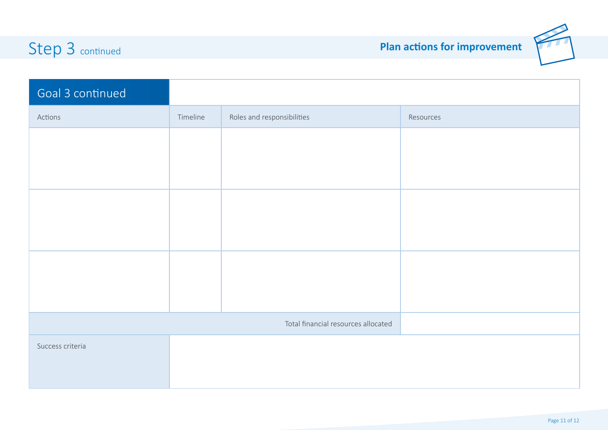## Step 3 continued



| Goal 3 continued                                                       | Students will further develop their fluency, problem solving and reasoning skills in mathematics.                                                                                                                                                                                                                                                              |                                                                                                                                                                                                                                                                                                                                                                                                                                                                           |                                                                                                                       |
|------------------------------------------------------------------------|----------------------------------------------------------------------------------------------------------------------------------------------------------------------------------------------------------------------------------------------------------------------------------------------------------------------------------------------------------------|---------------------------------------------------------------------------------------------------------------------------------------------------------------------------------------------------------------------------------------------------------------------------------------------------------------------------------------------------------------------------------------------------------------------------------------------------------------------------|-----------------------------------------------------------------------------------------------------------------------|
| Actions                                                                | Timeline                                                                                                                                                                                                                                                                                                                                                       | Roles and responsibilities                                                                                                                                                                                                                                                                                                                                                                                                                                                | Resources                                                                                                             |
| We will improve students<br>outcomes in fluency and problem<br>solving | $T1 - T4$<br>2019 - 2021                                                                                                                                                                                                                                                                                                                                       | Staff will:<br>Use the proficiency strands of understanding, fluency, problem solving and<br>reasoning as integral parts of their maths programs.<br>Begin each lesson with number facts and mental computation that includes<br>the QUICKSMART principles and practices.<br>Students will:<br>• Use automaticity skills in application of problem solving<br>• Apply knowledge from the deconstruction of problem solving skills to<br>authentic mathematical situations | Quicksmart maths resources<br>Mathematics coach<br>NAPLAN and PAT Maths data<br>Local mathematics screenings and data |
|                                                                        |                                                                                                                                                                                                                                                                                                                                                                |                                                                                                                                                                                                                                                                                                                                                                                                                                                                           |                                                                                                                       |
|                                                                        |                                                                                                                                                                                                                                                                                                                                                                |                                                                                                                                                                                                                                                                                                                                                                                                                                                                           |                                                                                                                       |
|                                                                        |                                                                                                                                                                                                                                                                                                                                                                | Total financial resources allocated                                                                                                                                                                                                                                                                                                                                                                                                                                       | 50,000                                                                                                                |
| Success criteria                                                       | 1. Students will increase their ability to demonstrate relevant elements of AC particularly in the area o number sense.<br>2. Students will increase their fluency and problemsolving skills and understandings.<br>3.A coherent approach to mathematics teaching and learning will be embedded.<br>4. Students will reach the set SEA targets in mathematics. |                                                                                                                                                                                                                                                                                                                                                                                                                                                                           |                                                                                                                       |